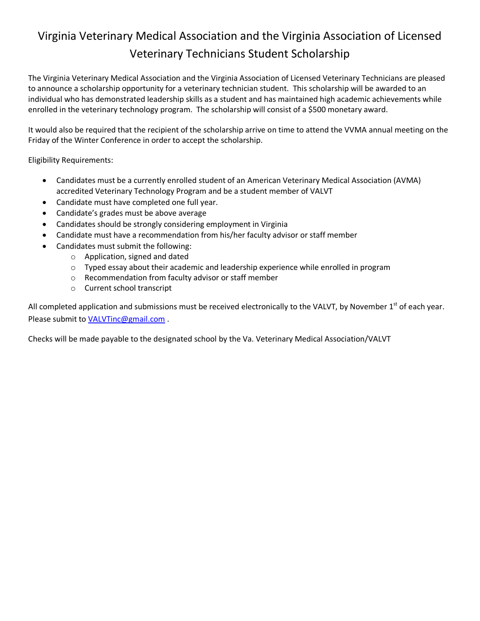## Virginia Veterinary Medical Association and the Virginia Association of Licensed Veterinary Technicians Student Scholarship

The Virginia Veterinary Medical Association and the Virginia Association of Licensed Veterinary Technicians are pleased to announce a scholarship opportunity for a veterinary technician student. This scholarship will be awarded to an individual who has demonstrated leadership skills as a student and has maintained high academic achievements while enrolled in the veterinary technology program. The scholarship will consist of a \$500 monetary award.

It would also be required that the recipient of the scholarship arrive on time to attend the VVMA annual meeting on the Friday of the Winter Conference in order to accept the scholarship.

Eligibility Requirements:

- Candidates must be a currently enrolled student of an American Veterinary Medical Association (AVMA) accredited Veterinary Technology Program and be a student member of VALVT
- Candidate must have completed one full year.
- Candidate's grades must be above average
- Candidates should be strongly considering employment in Virginia
- Candidate must have a recommendation from his/her faculty advisor or staff member
- Candidates must submit the following:
	- o Application, signed and dated
	- o Typed essay about their academic and leadership experience while enrolled in program
	- o Recommendation from faculty advisor or staff member
	- o Current school transcript

All completed application and submissions must be received electronically to the VALVT, by November  $1<sup>st</sup>$  of each year. Please submit to **VALVTinc@gmail.com**.

Checks will be made payable to the designated school by the Va. Veterinary Medical Association/VALVT